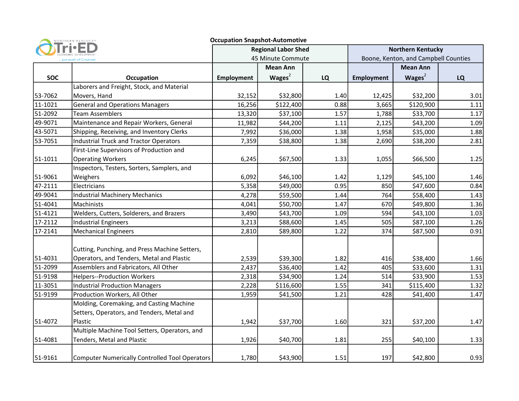|                         | NORTHERN KENTUCKY                                     | <b>Occupation Snapshot-Automotive</b>           |           |           |                                                                  |           |      |
|-------------------------|-------------------------------------------------------|-------------------------------------------------|-----------|-----------|------------------------------------------------------------------|-----------|------|
| just south of Cincinnat |                                                       | <b>Regional Labor Shed</b><br>45 Minute Commute |           |           | <b>Northern Kentucky</b><br>Boone, Kenton, and Campbell Counties |           |      |
|                         |                                                       |                                                 |           |           |                                                                  |           |      |
| <b>SOC</b>              | <b>Occupation</b>                                     | <b>Employment</b>                               | Wages $2$ | <b>LQ</b> | Employment                                                       | Wages $2$ | LQ   |
|                         | Laborers and Freight, Stock, and Material             |                                                 |           |           |                                                                  |           |      |
| 53-7062                 | Movers, Hand                                          | 32,152                                          | \$32,800  | 1.40      | 12,425                                                           | \$32,200  | 3.01 |
| 11-1021                 | <b>General and Operations Managers</b>                | 16,256                                          | \$122,400 | 0.88      | 3,665                                                            | \$120,900 | 1.11 |
| 51-2092                 | <b>Team Assemblers</b>                                | 13,320                                          | \$37,100  | 1.57      | 1,788                                                            | \$33,700  | 1.17 |
| 49-9071                 | Maintenance and Repair Workers, General               | 11,982                                          | \$44,200  | 1.11      | 2,125                                                            | \$43,200  | 1.09 |
| 43-5071                 | Shipping, Receiving, and Inventory Clerks             | 7,992                                           | \$36,000  | 1.38      | 1,958                                                            | \$35,000  | 1.88 |
| 53-7051                 | <b>Industrial Truck and Tractor Operators</b>         | 7,359                                           | \$38,800  | 1.38      | 2,690                                                            | \$38,200  | 2.81 |
|                         | First-Line Supervisors of Production and              |                                                 |           |           |                                                                  |           |      |
| 51-1011                 | <b>Operating Workers</b>                              | 6,245                                           | \$67,500  | 1.33      | 1,055                                                            | \$66,500  | 1.25 |
|                         | Inspectors, Testers, Sorters, Samplers, and           |                                                 |           |           |                                                                  |           |      |
| 51-9061                 | Weighers                                              | 6,092                                           | \$46,100  | 1.42      | 1,129                                                            | \$45,100  | 1.46 |
| 47-2111                 | Electricians                                          | 5,358                                           | \$49,000  | 0.95      | 850                                                              | \$47,600  | 0.84 |
| 49-9041                 | <b>Industrial Machinery Mechanics</b>                 | 4,278                                           | \$59,500  | 1.44      | 764                                                              | \$58,400  | 1.43 |
| 51-4041                 | Machinists                                            | 4,041                                           | \$50,700  | 1.47      | 670                                                              | \$49,800  | 1.36 |
| 51-4121                 | Welders, Cutters, Solderers, and Brazers              | 3,490                                           | \$43,700  | 1.09      | 594                                                              | \$43,100  | 1.03 |
| 17-2112                 | <b>Industrial Engineers</b>                           | 3,213                                           | \$88,600  | 1.45      | 505                                                              | \$87,100  | 1.26 |
| 17-2141                 | <b>Mechanical Engineers</b>                           | 2,810                                           | \$89,800  | 1.22      | 374                                                              | \$87,500  | 0.91 |
|                         | Cutting, Punching, and Press Machine Setters,         |                                                 |           |           |                                                                  |           |      |
| 51-4031                 | Operators, and Tenders, Metal and Plastic             | 2,539                                           | \$39,300  | 1.82      | 416                                                              | \$38,400  | 1.66 |
| 51-2099                 | Assemblers and Fabricators, All Other                 | 2,437                                           | \$36,400  | 1.42      | 405                                                              | \$33,600  | 1.31 |
| 51-9198                 | <b>Helpers--Production Workers</b>                    | 2,318                                           | \$34,900  | 1.24      | 514                                                              | \$33,900  | 1.53 |
| 11-3051                 | <b>Industrial Production Managers</b>                 | 2,228                                           | \$116,600 | 1.55      | 341                                                              | \$115,400 | 1.32 |
| 51-9199                 | Production Workers, All Other                         | 1,959                                           | \$41,500  | 1.21      | 428                                                              | \$41,400  | 1.47 |
|                         | Molding, Coremaking, and Casting Machine              |                                                 |           |           |                                                                  |           |      |
|                         | Setters, Operators, and Tenders, Metal and            |                                                 |           |           |                                                                  |           |      |
| 51-4072                 | Plastic                                               | 1,942                                           | \$37,700  | 1.60      | 321                                                              | \$37,200  | 1.47 |
|                         | Multiple Machine Tool Setters, Operators, and         |                                                 |           |           |                                                                  |           |      |
| 51-4081                 | Tenders, Metal and Plastic                            | 1,926                                           | \$40,700  | 1.81      | 255                                                              | \$40,100  | 1.33 |
| 51-9161                 | <b>Computer Numerically Controlled Tool Operators</b> | 1,780                                           | \$43,900  | 1.51      | 197                                                              | \$42,800  | 0.93 |